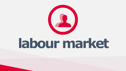

# **labour market**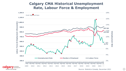



## **Calgary CMA Historical Unemployment Rate, Labour Force & Employment**



*Source: Statistics Canada, December 2021*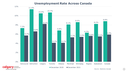



cal

## **Unemployment Rate Across Canada**

*Source: Statistics Canada*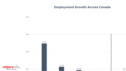









## **Employment Growth Across Canada**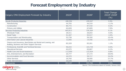## **Forecast Employment by Industry**

. . .

### Calgary CMA Employment Forecast by Industry

#### **Goods-Producing Industries**



| Calgary CMA Employment Forecast by Industry                                                                     | 2022F                                                | 2026F   | <b>Total Change</b><br>2022F-2026F<br>$($ % $)$ |
|-----------------------------------------------------------------------------------------------------------------|------------------------------------------------------|---------|-------------------------------------------------|
| Goods-Producing Industries                                                                                      | 188,394                                              | 199,547 | 5.9%                                            |
| Manufacturing                                                                                                   | 44,793                                               | 44,319  | $-1.1\%$                                        |
| Construction                                                                                                    | 80,772                                               | 87,418  | 8.2%                                            |
| <b>Primary and Utilities</b>                                                                                    | 62,828                                               | 67,809  | 7.9%                                            |
| Services-Producing Industries                                                                                   | 665,813                                              | 726,369 | $9.1\%$                                         |
| <b>Wholesale Trade</b>                                                                                          | 28,511                                               | 28,653  | $0.5\%$                                         |
| <b>Retail Trade</b>                                                                                             | 91,567                                               | 93,917  | 2.6%                                            |
| Transportation and Warehousing                                                                                  | 53,738                                               | 59,350  | 10.4%                                           |
| Information and Cultural Industries                                                                             | 12,856                                               | 14,456  | 12.4%                                           |
| Finance and Insurance, Real Estate and Rental and Leasing, and<br>Building, Business and Other Support Services | 82,329                                               | 83,261  | $1.1\%$                                         |
| Professional, Scientific and Technical Services                                                                 | 96,033                                               | 103,735 | 8.0%                                            |
| <b>Educational Services</b>                                                                                     | 62,075                                               | 65,867  | $6.1\%$                                         |
| <b>Health Care and Social Assistance</b>                                                                        | 112,950                                              | 122,924 | 8.8%                                            |
| Arts, Entertainment, and Recreation                                                                             | 20,777                                               | 27,173  | 30.8%                                           |
| <b>Accommodation and Food Services</b>                                                                          | 44,570                                               | 59,717  | 34.0%                                           |
| <b>Other Services</b>                                                                                           | 29,760                                               | 38,000  | 27.7%                                           |
| <b>Public Administration</b>                                                                                    | 30,649                                               | 28,182  | $-8.0\%$                                        |
| All Industries                                                                                                  | 854,207                                              | 924,782 | 8.3%                                            |
|                                                                                                                 | Source: The Conference Board of Canada, January 2022 |         |                                                 |



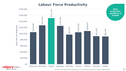71



ca

## **Labour Force Productivity**

*Source: 2020 Real GDP & Employment, The Conference Board of Canada, Spring 2021*

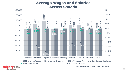



**M** economic development be part of the energy

## **Average Wages and Salaries Across Canada**

*Source: The Conference Board of Canada, January 2022*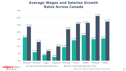



**Ca** 

## **Average Wages and Salaries Growth Rates Across Canada**

*Source: The Conference Board of Canada, January 2022*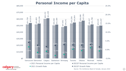25.0%







\$80,000

## **Personal Income per Capita**